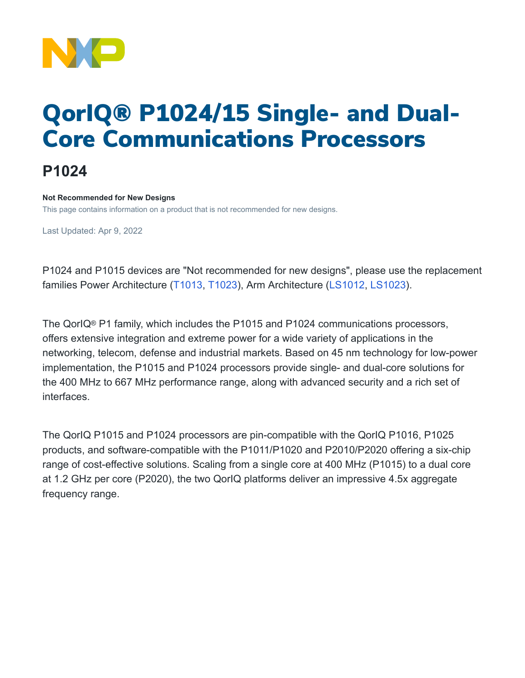

# QorIQ® P1024/15 Single- and Dual-Core Communications Processors

## **P1024**

#### **Not Recommended for New Designs**

This page contains information on a product that is not recommended for new designs.

Last Updated: Apr 9, 2022

P1024 and P1015 devices are "Not recommended for new designs", please use the replacement families Power Architecture [\(T1013](https://www.nxp.com/products/processors-and-microcontrollers/power-architecture/qoriq-communication-processors/t-series/qoriq-t1024-14-and-t1023-13-dual-and-single-core-communications-processors:T1024), [T1023\)](https://www.nxp.com/products/processors-and-microcontrollers/power-architecture/qoriq-communication-processors/t-series/qoriq-t1024-14-and-t1023-13-dual-and-single-core-communications-processors:T1024), Arm Architecture [\(LS1012](https://www.nxp.com/products/processors-and-microcontrollers/arm-processors/layerscape-processors/layerscape-1012a-low-power-processor:LS1012A), [LS1023](https://www.nxp.com/products/processors-and-microcontrollers/arm-processors/layerscape-processors/layerscape-1043a-and-1023a-processors:LS1043A)).

The QorIQ® P1 family, which includes the P1015 and P1024 communications processors, offers extensive integration and extreme power for a wide variety of applications in the networking, telecom, defense and industrial markets. Based on 45 nm technology for low-power implementation, the P1015 and P1024 processors provide single- and dual-core solutions for the 400 MHz to 667 MHz performance range, along with advanced security and a rich set of interfaces.

The QorIQ P1015 and P1024 processors are pin-compatible with the QorIQ P1016, P1025 products, and software-compatible with the P1011/P1020 and P2010/P2020 offering a six-chip range of cost-effective solutions. Scaling from a single core at 400 MHz (P1015) to a dual core at 1.2 GHz per core (P2020), the two QorIQ platforms deliver an impressive 4.5x aggregate frequency range.